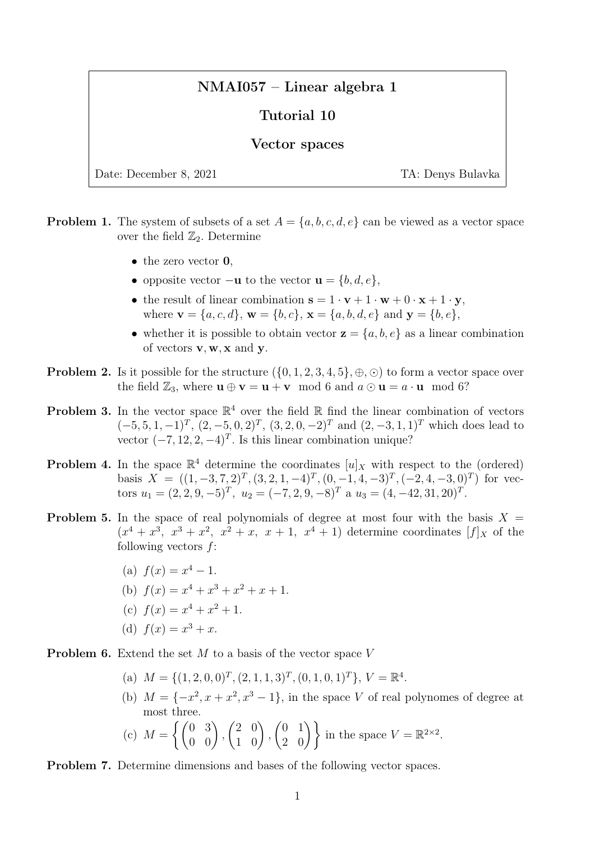## NMAI057 – Linear algebra 1

## Tutorial 10

## Vector spaces

Date: December 8, 2021 TA: Denys Bulavka

- **Problem 1.** The system of subsets of a set  $A = \{a, b, c, d, e\}$  can be viewed as a vector space over the field  $\mathbb{Z}_2$ . Determine
	- the zero vector **0**.
	- opposite vector  $-\mathbf{u}$  to the vector  $\mathbf{u} = \{b, d, e\},\,$
	- the result of linear combination  $s = 1 \cdot v + 1 \cdot w + 0 \cdot x + 1 \cdot y$ , where  $\mathbf{v} = \{a, c, d\}, \mathbf{w} = \{b, c\}, \mathbf{x} = \{a, b, d, e\}$  and  $\mathbf{y} = \{b, e\},\$
	- whether it is possible to obtain vector  $z = \{a, b, e\}$  as a linear combination of vectors  $v, w, x$  and  $y$ .
- **Problem 2.** Is it possible for the structure  $(\{0, 1, 2, 3, 4, 5\}, \oplus, \odot)$  to form a vector space over the field  $\mathbb{Z}_3$ , where  $\mathbf{u} \oplus \mathbf{v} = \mathbf{u} + \mathbf{v} \mod 6$  and  $a \odot \mathbf{u} = a \cdot \mathbf{u} \mod 6$ ?
- **Problem 3.** In the vector space  $\mathbb{R}^4$  over the field  $\mathbb{R}$  find the linear combination of vectors  $(-5, 5, 1, -1)^T$ ,  $(2, -5, 0, 2)^T$ ,  $(3, 2, 0, -2)^T$  and  $(2, -3, 1, 1)^T$  which does lead to vector  $(-7, 12, 2, -4)^T$ . Is this linear combination unique?
- **Problem 4.** In the space  $\mathbb{R}^4$  determine the coordinates  $[u]_X$  with respect to the (ordered) basis  $X = ((1, -3, 7, 2)^T, (3, 2, 1, -4)^T, (0, -1, 4, -3)^T, (-2, 4, -3, 0)^T)$  for vectors  $u_1 = (2, 2, 9, -5)^T$ ,  $u_2 = (-7, 2, 9, -8)^T$  a  $u_3 = (4, -42, 31, 20)^T$ .
- **Problem 5.** In the space of real polynomials of degree at most four with the basis  $X =$  $(x^4+x^3, x^3+x^2, x^2+x, x+1, x^4+1)$  determine coordinates  $[f]_X$  of the following vectors  $f$ :
	- (a)  $f(x) = x^4 1$ .
	- (b)  $f(x) = x^4 + x^3 + x^2 + x + 1$ .
	- (c)  $f(x) = x^4 + x^2 + 1$ .
	- (d)  $f(x) = x^3 + x$ .

**Problem 6.** Extend the set  $M$  to a basis of the vector space  $V$ 

- (a)  $M = \{(1, 2, 0, 0)^T, (2, 1, 1, 3)^T, (0, 1, 0, 1)^T\}, V = \mathbb{R}^4$ .
- (b)  $M = \{-x^2, x + x^2, x^3 1\}$ , in the space V of real polynomes of degree at most three.

(c) 
$$
M = \left\{ \begin{pmatrix} 0 & 3 \\ 0 & 0 \end{pmatrix}, \begin{pmatrix} 2 & 0 \\ 1 & 0 \end{pmatrix}, \begin{pmatrix} 0 & 1 \\ 2 & 0 \end{pmatrix} \right\}
$$
 in the space  $V = \mathbb{R}^{2 \times 2}$ .

Problem 7. Determine dimensions and bases of the following vector spaces.